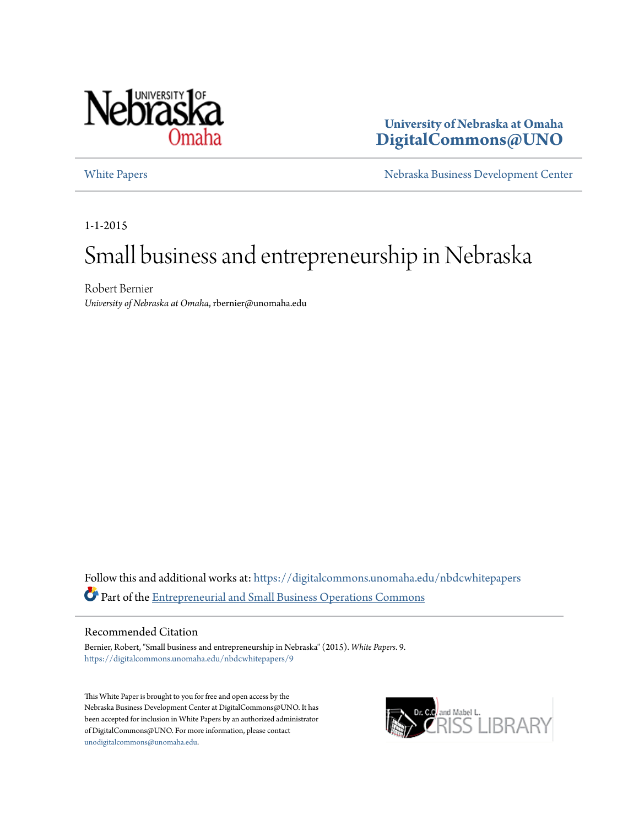

**University of Nebraska at Omaha [DigitalCommons@UNO](https://digitalcommons.unomaha.edu?utm_source=digitalcommons.unomaha.edu%2Fnbdcwhitepapers%2F9&utm_medium=PDF&utm_campaign=PDFCoverPages)**

[White Papers](https://digitalcommons.unomaha.edu/nbdcwhitepapers?utm_source=digitalcommons.unomaha.edu%2Fnbdcwhitepapers%2F9&utm_medium=PDF&utm_campaign=PDFCoverPages) **[Nebraska Business Development Center](https://digitalcommons.unomaha.edu/nbdc?utm_source=digitalcommons.unomaha.edu%2Fnbdcwhitepapers%2F9&utm_medium=PDF&utm_campaign=PDFCoverPages)** 

1-1-2015

# Small business and entrepreneurship in Nebraska

Robert Bernier *University of Nebraska at Omaha*, rbernier@unomaha.edu

Follow this and additional works at: [https://digitalcommons.unomaha.edu/nbdcwhitepapers](https://digitalcommons.unomaha.edu/nbdcwhitepapers?utm_source=digitalcommons.unomaha.edu%2Fnbdcwhitepapers%2F9&utm_medium=PDF&utm_campaign=PDFCoverPages) Part of the [Entrepreneurial and Small Business Operations Commons](http://network.bepress.com/hgg/discipline/630?utm_source=digitalcommons.unomaha.edu%2Fnbdcwhitepapers%2F9&utm_medium=PDF&utm_campaign=PDFCoverPages)

#### Recommended Citation

Bernier, Robert, "Small business and entrepreneurship in Nebraska" (2015). *White Papers*. 9. [https://digitalcommons.unomaha.edu/nbdcwhitepapers/9](https://digitalcommons.unomaha.edu/nbdcwhitepapers/9?utm_source=digitalcommons.unomaha.edu%2Fnbdcwhitepapers%2F9&utm_medium=PDF&utm_campaign=PDFCoverPages)

This White Paper is brought to you for free and open access by the Nebraska Business Development Center at DigitalCommons@UNO. It has been accepted for inclusion in White Papers by an authorized administrator of DigitalCommons@UNO. For more information, please contact [unodigitalcommons@unomaha.edu](mailto:unodigitalcommons@unomaha.edu).

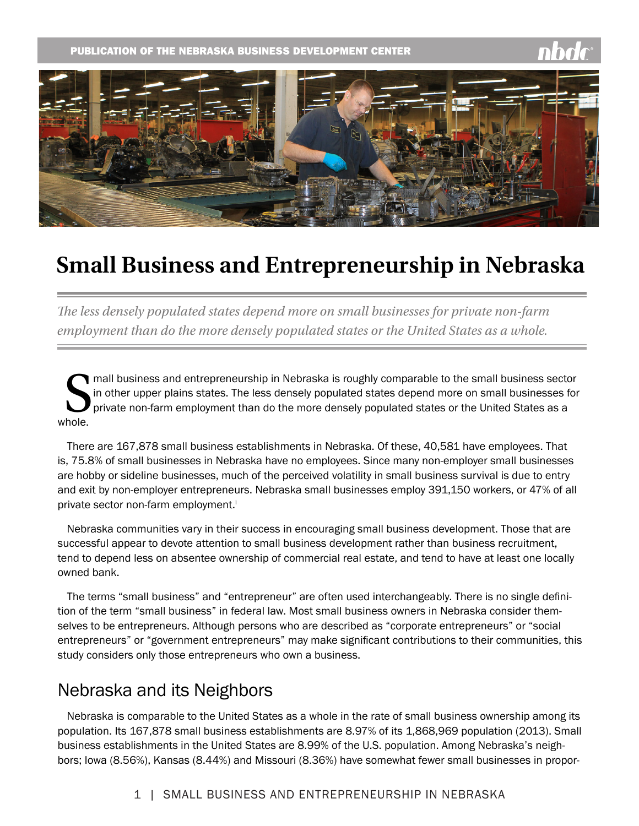

# **Small Business and Entrepreneurship in Nebraska**

*The less densely populated states depend more on small businesses for private non-farm employment than do the more densely populated states or the United States as a whole.*

S whole. mall business and entrepreneurship in Nebraska is roughly comparable to the small business sector in other upper plains states. The less densely populated states depend more on small businesses for private non-farm employment than do the more densely populated states or the United States as a

There are 167,878 small business establishments in Nebraska. Of these, 40,581 have employees. That is, 75.8% of small businesses in Nebraska have no employees. Since many non-employer small businesses are hobby or sideline businesses, much of the perceived volatility in small business survival is due to entry and exit by non-employer entrepreneurs. Nebraska small businesses employ 391,150 workers, or 47% of all private sector non-farm employment.<sup>i</sup>

Nebraska communities vary in their success in encouraging small business development. Those that are successful appear to devote attention to small business development rather than business recruitment, tend to depend less on absentee ownership of commercial real estate, and tend to have at least one locally owned bank.

The terms "small business" and "entrepreneur" are often used interchangeably. There is no single definition of the term "small business" in federal law. Most small business owners in Nebraska consider themselves to be entrepreneurs. Although persons who are described as "corporate entrepreneurs" or "social entrepreneurs" or "government entrepreneurs" may make significant contributions to their communities, this study considers only those entrepreneurs who own a business.

# Nebraska and its Neighbors

Nebraska is comparable to the United States as a whole in the rate of small business ownership among its population. Its 167,878 small business establishments are 8.97% of its 1,868,969 population (2013). Small business establishments in the United States are 8.99% of the U.S. population. Among Nebraska's neighbors; Iowa (8.56%), Kansas (8.44%) and Missouri (8.36%) have somewhat fewer small businesses in propor-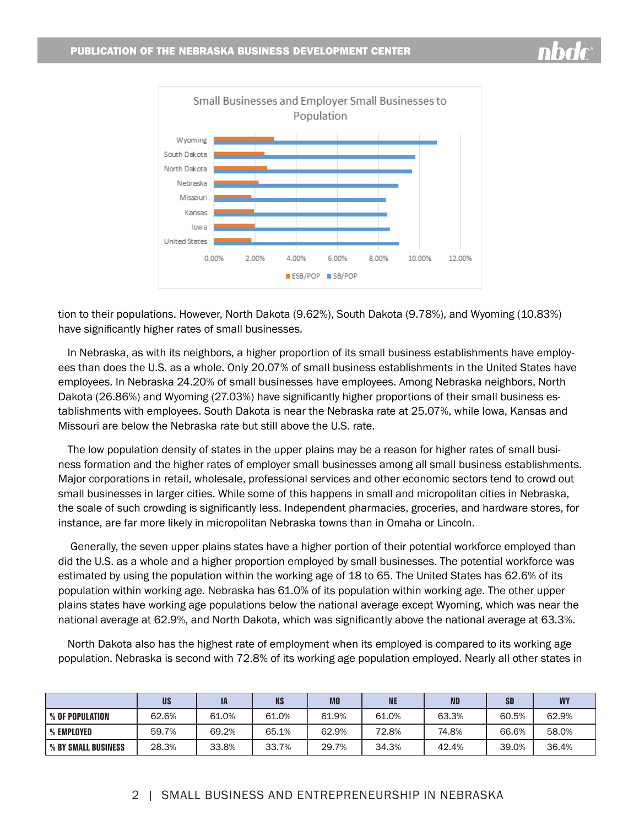

tion to their populations. However, North Dakota (9.62%), South Dakota (9.78%), and Wyoming (10.83%) have significantly higher rates of small businesses.

In Nebraska, as with its neighbors, a higher proportion of its small business establishments have employees than does the U.S. as a whole. Only 20.07% of small business establishments in the United States have employees. In Nebraska 24.20% of small businesses have employees. Among Nebraska neighbors, North Dakota (26.86%) and Wyoming (27.03%) have significantly higher proportions of their small business establishments with employees. South Dakota is near the Nebraska rate at 25.07%, while Iowa, Kansas and Missouri are below the Nebraska rate but still above the U.S. rate.

The low population density of states in the upper plains may be a reason for higher rates of small business formation and the higher rates of employer small businesses among all small business establishments. Major corporations in retail, wholesale, professional services and other economic sectors tend to crowd out small businesses in larger cities. While some of this happens in small and micropolitan cities in Nebraska, the scale of such crowding is significantly less. Independent pharmacies, groceries, and hardware stores, for instance, are far more likely in micropolitan Nebraska towns than in Omaha or Lincoln.

 Generally, the seven upper plains states have a higher portion of their potential workforce employed than did the U.S. as a whole and a higher proportion employed by small businesses. The potential workforce was estimated by using the population within the working age of 18 to 65. The United States has 62.6% of its population within working age. Nebraska has 61.0% of its population within working age. The other upper plains states have working age populations below the national average except Wyoming, which was near the national average at 62.9%, and North Dakota, which was significantly above the national average at 63.3%.

North Dakota also has the highest rate of employment when its employed is compared to its working age population. Nebraska is second with 72.8% of its working age population employed. Nearly all other states in

|                     | <b>US</b> | IA    | <b>KS</b> | <b>MO</b> | <b>NE</b> | <b>ND</b> | <b>SD</b> | <b>WY</b> |
|---------------------|-----------|-------|-----------|-----------|-----------|-----------|-----------|-----------|
| % OF POPULATION     | 62.6%     | 61.0% | 61.0%     | 61.9%     | 61.0%     | 63.3%     | 60.5%     | 62.9%     |
| % EMPLOYED          | 59.7%     | 69.2% | 65.1%     | 62.9%     | 72.8%     | 74.8%     | 66.6%     | 58.0%     |
| % BY SMALL BUSINESS | 28.3%     | 33.8% | 33.7%     | 29.7%     | 34.3%     | 42.4%     | 39.0%     | 36.4%     |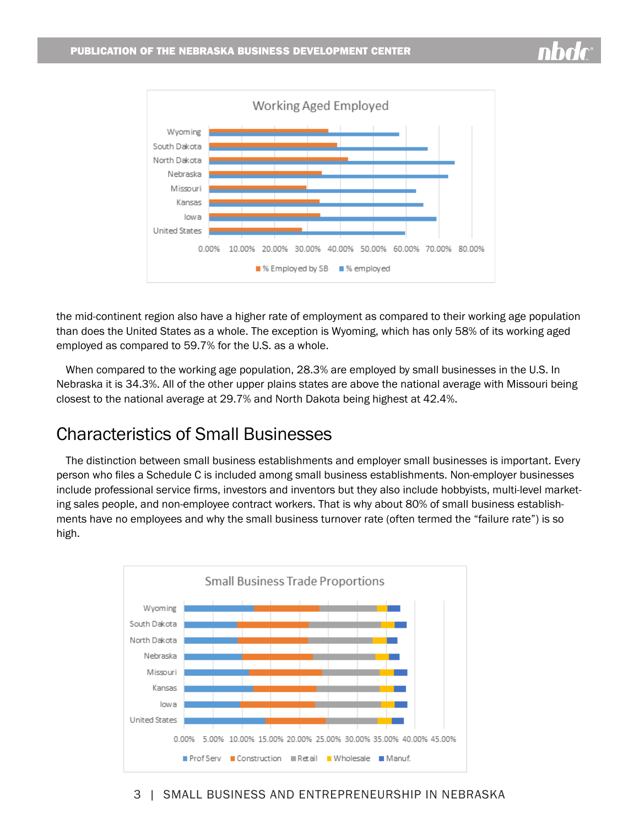

the mid-continent region also have a higher rate of employment as compared to their working age population than does the United States as a whole. The exception is Wyoming, which has only 58% of its working aged employed as compared to 59.7% for the U.S. as a whole.

When compared to the working age population, 28.3% are employed by small businesses in the U.S. In Nebraska it is 34.3%. All of the other upper plains states are above the national average with Missouri being closest to the national average at 29.7% and North Dakota being highest at 42.4%.

## Characteristics of Small Businesses

The distinction between small business establishments and employer small businesses is important. Every person who files a Schedule C is included among small business establishments. Non-employer businesses include professional service firms, investors and inventors but they also include hobbyists, multi-level marketing sales people, and non-employee contract workers. That is why about 80% of small business establishments have no employees and why the small business turnover rate (often termed the "failure rate") is so high.



3 | SMALL BUSINESS AND ENTREPRENEURSHIP IN NEBRASKA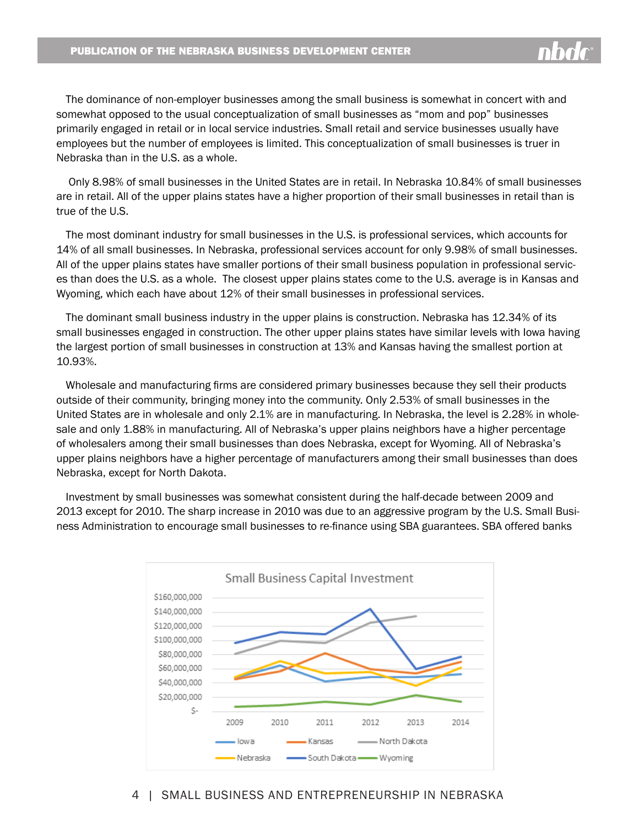

The dominance of non-employer businesses among the small business is somewhat in concert with and somewhat opposed to the usual conceptualization of small businesses as "mom and pop" businesses primarily engaged in retail or in local service industries. Small retail and service businesses usually have employees but the number of employees is limited. This conceptualization of small businesses is truer in Nebraska than in the U.S. as a whole.

 Only 8.98% of small businesses in the United States are in retail. In Nebraska 10.84% of small businesses are in retail. All of the upper plains states have a higher proportion of their small businesses in retail than is true of the U.S.

The most dominant industry for small businesses in the U.S. is professional services, which accounts for 14% of all small businesses. In Nebraska, professional services account for only 9.98% of small businesses. All of the upper plains states have smaller portions of their small business population in professional services than does the U.S. as a whole. The closest upper plains states come to the U.S. average is in Kansas and Wyoming, which each have about 12% of their small businesses in professional services.

The dominant small business industry in the upper plains is construction. Nebraska has 12.34% of its small businesses engaged in construction. The other upper plains states have similar levels with Iowa having the largest portion of small businesses in construction at 13% and Kansas having the smallest portion at 10.93%.

Wholesale and manufacturing firms are considered primary businesses because they sell their products outside of their community, bringing money into the community. Only 2.53% of small businesses in the United States are in wholesale and only 2.1% are in manufacturing. In Nebraska, the level is 2.28% in wholesale and only 1.88% in manufacturing. All of Nebraska's upper plains neighbors have a higher percentage of wholesalers among their small businesses than does Nebraska, except for Wyoming. All of Nebraska's upper plains neighbors have a higher percentage of manufacturers among their small businesses than does Nebraska, except for North Dakota.

Investment by small businesses was somewhat consistent during the half-decade between 2009 and 2013 except for 2010. The sharp increase in 2010 was due to an aggressive program by the U.S. Small Business Administration to encourage small businesses to re-finance using SBA guarantees. SBA offered banks



#### 4 | SMALL BUSINESS AND ENTREPRENEURSHIP IN NEBRASKA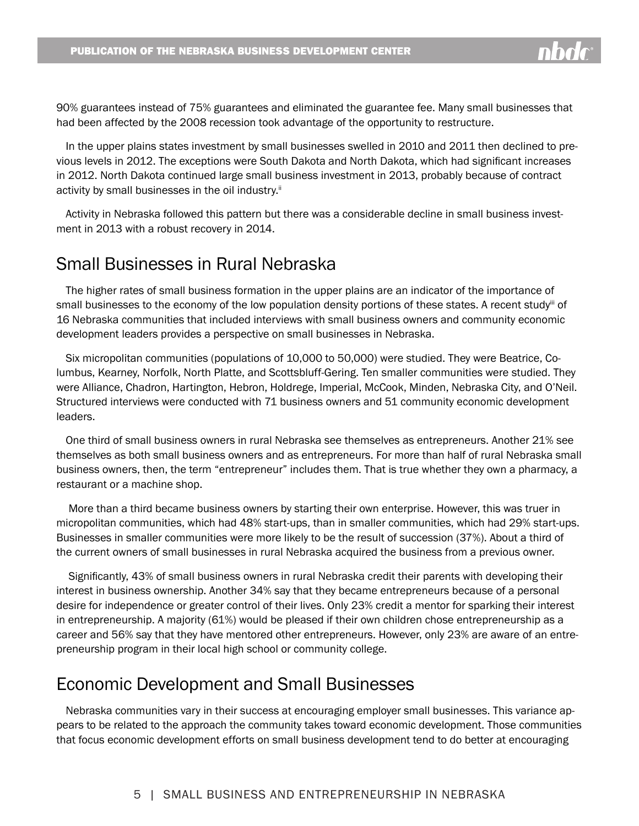90% guarantees instead of 75% guarantees and eliminated the guarantee fee. Many small businesses that had been affected by the 2008 recession took advantage of the opportunity to restructure.

In the upper plains states investment by small businesses swelled in 2010 and 2011 then declined to previous levels in 2012. The exceptions were South Dakota and North Dakota, which had significant increases in 2012. North Dakota continued large small business investment in 2013, probably because of contract activity by small businesses in the oil industry.<sup>ii</sup>

Activity in Nebraska followed this pattern but there was a considerable decline in small business investment in 2013 with a robust recovery in 2014.

### Small Businesses in Rural Nebraska

The higher rates of small business formation in the upper plains are an indicator of the importance of small businesses to the economy of the low population density portions of these states. A recent study<sup>iii</sup> of 16 Nebraska communities that included interviews with small business owners and community economic development leaders provides a perspective on small businesses in Nebraska.

Six micropolitan communities (populations of 10,000 to 50,000) were studied. They were Beatrice, Columbus, Kearney, Norfolk, North Platte, and Scottsbluff-Gering. Ten smaller communities were studied. They were Alliance, Chadron, Hartington, Hebron, Holdrege, Imperial, McCook, Minden, Nebraska City, and O'Neil. Structured interviews were conducted with 71 business owners and 51 community economic development leaders.

One third of small business owners in rural Nebraska see themselves as entrepreneurs. Another 21% see themselves as both small business owners and as entrepreneurs. For more than half of rural Nebraska small business owners, then, the term "entrepreneur" includes them. That is true whether they own a pharmacy, a restaurant or a machine shop.

 More than a third became business owners by starting their own enterprise. However, this was truer in micropolitan communities, which had 48% start-ups, than in smaller communities, which had 29% start-ups. Businesses in smaller communities were more likely to be the result of succession (37%). About a third of the current owners of small businesses in rural Nebraska acquired the business from a previous owner.

 Significantly, 43% of small business owners in rural Nebraska credit their parents with developing their interest in business ownership. Another 34% say that they became entrepreneurs because of a personal desire for independence or greater control of their lives. Only 23% credit a mentor for sparking their interest in entrepreneurship. A majority (61%) would be pleased if their own children chose entrepreneurship as a career and 56% say that they have mentored other entrepreneurs. However, only 23% are aware of an entrepreneurship program in their local high school or community college.

### Economic Development and Small Businesses

Nebraska communities vary in their success at encouraging employer small businesses. This variance appears to be related to the approach the community takes toward economic development. Those communities that focus economic development efforts on small business development tend to do better at encouraging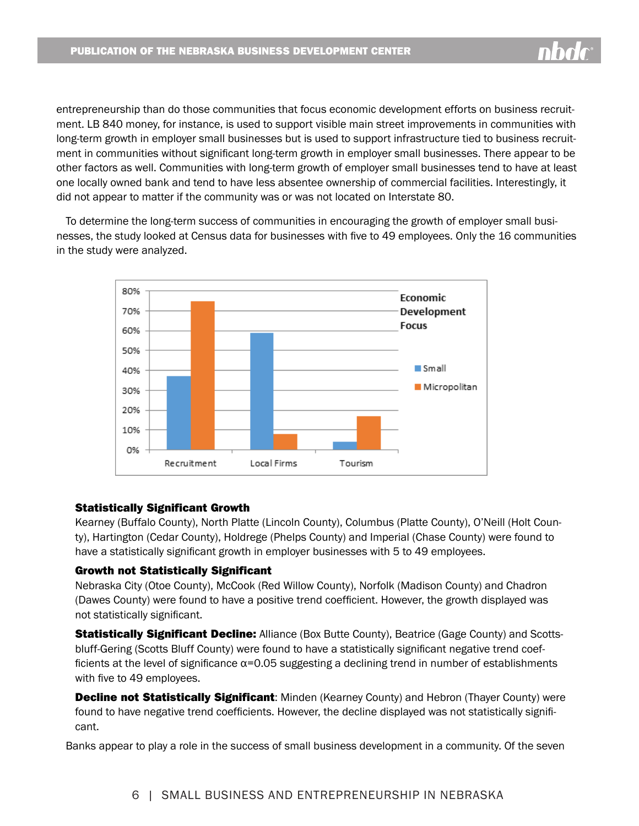entrepreneurship than do those communities that focus economic development efforts on business recruitment. LB 840 money, for instance, is used to support visible main street improvements in communities with long-term growth in employer small businesses but is used to support infrastructure tied to business recruitment in communities without significant long-term growth in employer small businesses. There appear to be other factors as well. Communities with long-term growth of employer small businesses tend to have at least one locally owned bank and tend to have less absentee ownership of commercial facilities. Interestingly, it did not appear to matter if the community was or was not located on Interstate 80.

To determine the long-term success of communities in encouraging the growth of employer small businesses, the study looked at Census data for businesses with five to 49 employees. Only the 16 communities in the study were analyzed.



#### Statistically Significant Growth

Kearney (Buffalo County), North Platte (Lincoln County), Columbus (Platte County), O'Neill (Holt County), Hartington (Cedar County), Holdrege (Phelps County) and Imperial (Chase County) were found to have a statistically significant growth in employer businesses with 5 to 49 employees.

#### Growth not Statistically Significant

Nebraska City (Otoe County), McCook (Red Willow County), Norfolk (Madison County) and Chadron (Dawes County) were found to have a positive trend coefficient. However, the growth displayed was not statistically significant.

**Statistically Significant Decline:** Alliance (Box Butte County), Beatrice (Gage County) and Scottsbluff-Gering (Scotts Bluff County) were found to have a statistically significant negative trend coefficients at the level of significance  $\alpha$ =0.05 suggesting a declining trend in number of establishments with five to 49 employees.

Decline not Statistically Significant: Minden (Kearney County) and Hebron (Thayer County) were found to have negative trend coefficients. However, the decline displayed was not statistically significant.

Banks appear to play a role in the success of small business development in a community. Of the seven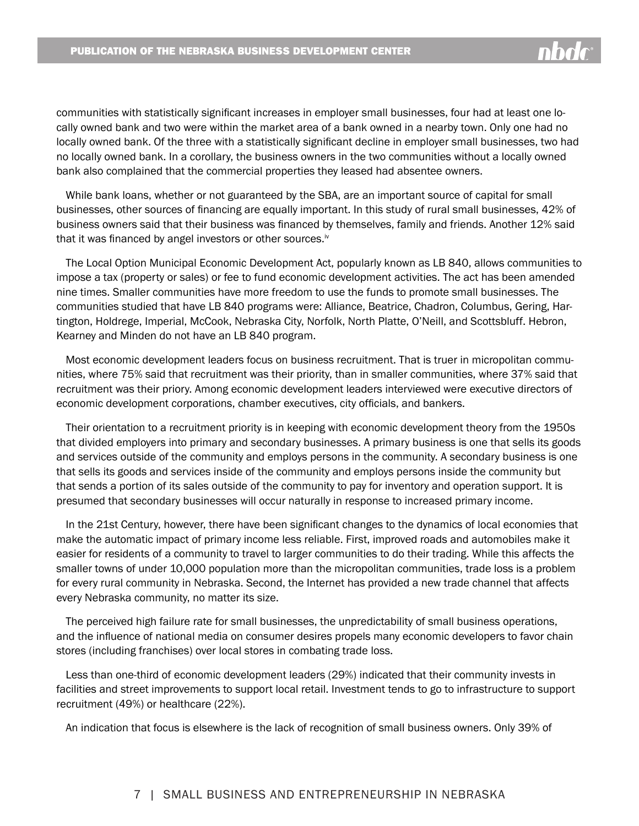communities with statistically significant increases in employer small businesses, four had at least one locally owned bank and two were within the market area of a bank owned in a nearby town. Only one had no locally owned bank. Of the three with a statistically significant decline in employer small businesses, two had no locally owned bank. In a corollary, the business owners in the two communities without a locally owned bank also complained that the commercial properties they leased had absentee owners.

While bank loans, whether or not guaranteed by the SBA, are an important source of capital for small businesses, other sources of financing are equally important. In this study of rural small businesses, 42% of business owners said that their business was financed by themselves, family and friends. Another 12% said that it was financed by angel investors or other sources.<sup>iv</sup>

The Local Option Municipal Economic Development Act, popularly known as LB 840, allows communities to impose a tax (property or sales) or fee to fund economic development activities. The act has been amended nine times. Smaller communities have more freedom to use the funds to promote small businesses. The communities studied that have LB 840 programs were: Alliance, Beatrice, Chadron, Columbus, Gering, Hartington, Holdrege, Imperial, McCook, Nebraska City, Norfolk, North Platte, O'Neill, and Scottsbluff. Hebron, Kearney and Minden do not have an LB 840 program.

Most economic development leaders focus on business recruitment. That is truer in micropolitan communities, where 75% said that recruitment was their priority, than in smaller communities, where 37% said that recruitment was their priory. Among economic development leaders interviewed were executive directors of economic development corporations, chamber executives, city officials, and bankers.

Their orientation to a recruitment priority is in keeping with economic development theory from the 1950s that divided employers into primary and secondary businesses. A primary business is one that sells its goods and services outside of the community and employs persons in the community. A secondary business is one that sells its goods and services inside of the community and employs persons inside the community but that sends a portion of its sales outside of the community to pay for inventory and operation support. It is presumed that secondary businesses will occur naturally in response to increased primary income.

In the 21st Century, however, there have been significant changes to the dynamics of local economies that make the automatic impact of primary income less reliable. First, improved roads and automobiles make it easier for residents of a community to travel to larger communities to do their trading. While this affects the smaller towns of under 10,000 population more than the micropolitan communities, trade loss is a problem for every rural community in Nebraska. Second, the Internet has provided a new trade channel that affects every Nebraska community, no matter its size.

The perceived high failure rate for small businesses, the unpredictability of small business operations, and the influence of national media on consumer desires propels many economic developers to favor chain stores (including franchises) over local stores in combating trade loss.

Less than one-third of economic development leaders (29%) indicated that their community invests in facilities and street improvements to support local retail. Investment tends to go to infrastructure to support recruitment (49%) or healthcare (22%).

An indication that focus is elsewhere is the lack of recognition of small business owners. Only 39% of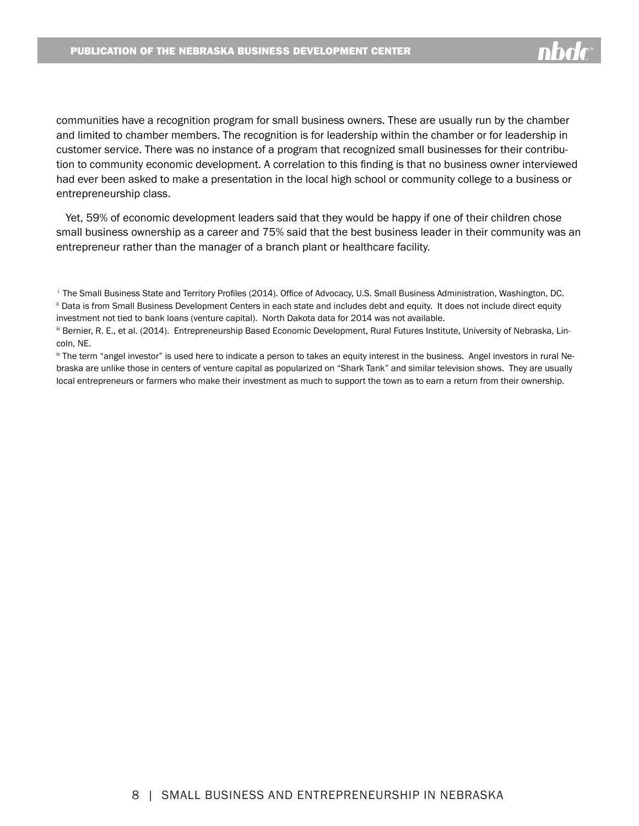communities have a recognition program for small business owners. These are usually run by the chamber and limited to chamber members. The recognition is for leadership within the chamber or for leadership in customer service. There was no instance of a program that recognized small businesses for their contribution to community economic development. A correlation to this finding is that no business owner interviewed had ever been asked to make a presentation in the local high school or community college to a business or entrepreneurship class.

Yet, 59% of economic development leaders said that they would be happy if one of their children chose small business ownership as a career and 75% said that the best business leader in their community was an entrepreneur rather than the manager of a branch plant or healthcare facility.

investment not tied to bank loans (venture capital). North Dakota data for 2014 was not available.

<sup>&</sup>lt;sup>i</sup> The Small Business State and Territory Profiles (2014). Office of Advocacy, U.S. Small Business Administration, Washington, DC. ii Data is from Small Business Development Centers in each state and includes debt and equity. It does not include direct equity

iii Bernier, R. E., et al. (2014). Entrepreneurship Based Economic Development, Rural Futures Institute, University of Nebraska, Lincoln, NE.

iv The term "angel investor" is used here to indicate a person to takes an equity interest in the business. Angel investors in rural Nebraska are unlike those in centers of venture capital as popularized on "Shark Tank" and similar television shows. They are usually local entrepreneurs or farmers who make their investment as much to support the town as to earn a return from their ownership.